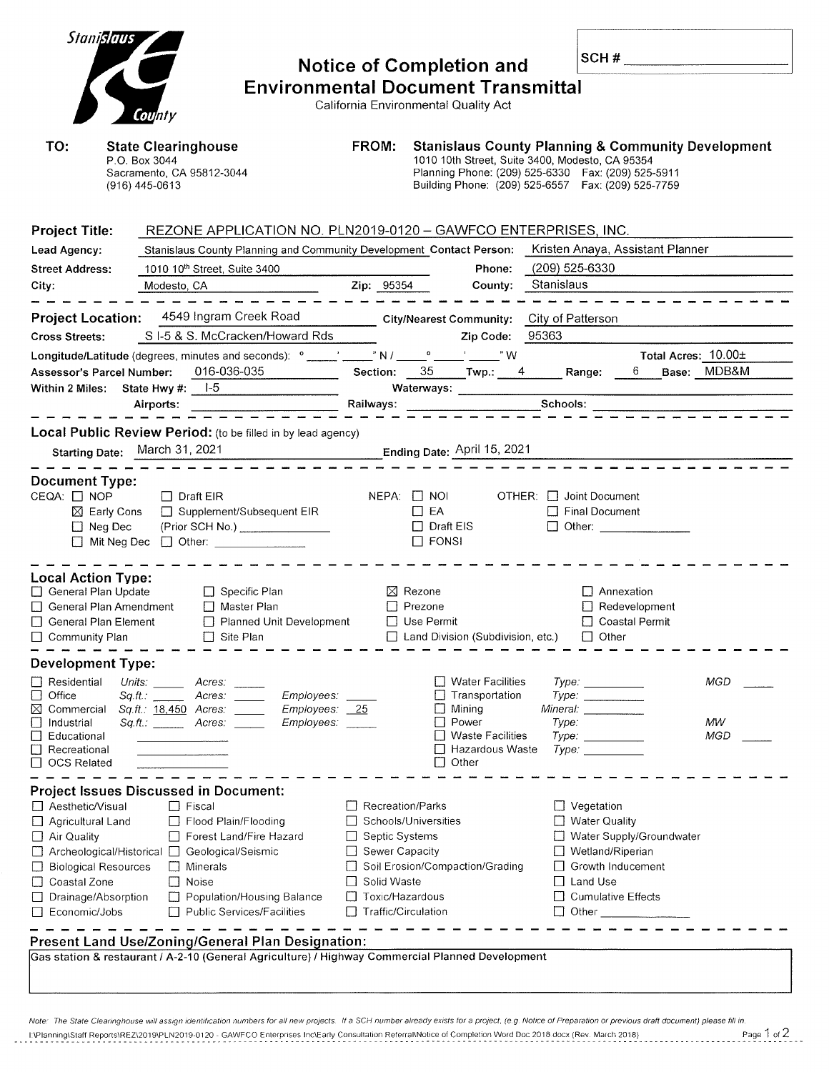| Stanislaus                                                                                                                                                                                                         |                                                                                                                                                                                   | <b>Notice of Completion and</b>                                                                                                    |                                                                                                                                                                                                                                |                              | SCH#                                                                                                                                                 |                          |                  |  |
|--------------------------------------------------------------------------------------------------------------------------------------------------------------------------------------------------------------------|-----------------------------------------------------------------------------------------------------------------------------------------------------------------------------------|------------------------------------------------------------------------------------------------------------------------------------|--------------------------------------------------------------------------------------------------------------------------------------------------------------------------------------------------------------------------------|------------------------------|------------------------------------------------------------------------------------------------------------------------------------------------------|--------------------------|------------------|--|
|                                                                                                                                                                                                                    | <b>Environmental Document Transmittal</b>                                                                                                                                         |                                                                                                                                    |                                                                                                                                                                                                                                |                              |                                                                                                                                                      |                          |                  |  |
| California Environmental Quality Act<br>County                                                                                                                                                                     |                                                                                                                                                                                   |                                                                                                                                    |                                                                                                                                                                                                                                |                              |                                                                                                                                                      |                          |                  |  |
| TO:                                                                                                                                                                                                                | <b>State Clearinghouse</b><br>P.O. Box 3044<br>Sacramento, CA 95812-3044<br>(916) 445-0613                                                                                        | FROM:                                                                                                                              | <b>Stanislaus County Planning &amp; Community Development</b><br>1010 10th Street, Suite 3400, Modesto, CA 95354<br>Planning Phone: (209) 525-6330  Fax: (209) 525-5911<br>Building Phone: (209) 525-6557  Fax: (209) 525-7759 |                              |                                                                                                                                                      |                          |                  |  |
| <b>Project Title:</b>                                                                                                                                                                                              | REZONE APPLICATION NO. PLN2019-0120 - GAWFCO ENTERPRISES, INC.                                                                                                                    |                                                                                                                                    |                                                                                                                                                                                                                                |                              |                                                                                                                                                      |                          |                  |  |
| Lead Agency:                                                                                                                                                                                                       | Stanislaus County Planning and Community Development Contact Person: Kristen Anaya, Assistant Planner                                                                             |                                                                                                                                    |                                                                                                                                                                                                                                |                              |                                                                                                                                                      |                          |                  |  |
| <b>Street Address:</b>                                                                                                                                                                                             | 1010 10 <sup>th</sup> Street, Suite 3400                                                                                                                                          |                                                                                                                                    | Phone:                                                                                                                                                                                                                         | (209) 525-6330               |                                                                                                                                                      |                          |                  |  |
| City:                                                                                                                                                                                                              | Modesto, CA                                                                                                                                                                       | Zip: 95354                                                                                                                         | County:                                                                                                                                                                                                                        | Stanislaus                   |                                                                                                                                                      |                          |                  |  |
|                                                                                                                                                                                                                    |                                                                                                                                                                                   |                                                                                                                                    |                                                                                                                                                                                                                                |                              |                                                                                                                                                      |                          |                  |  |
| <b>Project Location:</b>                                                                                                                                                                                           | 4549 Ingram Creek Road                                                                                                                                                            |                                                                                                                                    |                                                                                                                                                                                                                                |                              |                                                                                                                                                      |                          |                  |  |
| <b>Cross Streets:</b>                                                                                                                                                                                              | SI-5 & S. McCracken/Howard Rds                                                                                                                                                    |                                                                                                                                    | Zip Code:                                                                                                                                                                                                                      | 95363                        |                                                                                                                                                      |                          |                  |  |
|                                                                                                                                                                                                                    | Longitude/Latitude (degrees, minutes and seconds): $^{\circ}$ _____' _____" N / _____ <sup>o</sup> _____' _____" W                                                                |                                                                                                                                    |                                                                                                                                                                                                                                |                              |                                                                                                                                                      | Total Acres: 10.00±      |                  |  |
| Assessor's Parcel Number:<br>Within 2 Miles: State Hwy #:                                                                                                                                                          | 016-036-035<br>$1-5$                                                                                                                                                              |                                                                                                                                    | Section: 35 Twp.: 4 Range:<br>Waterways: ___________                                                                                                                                                                           |                              |                                                                                                                                                      | 6 Base: MDB&M            |                  |  |
|                                                                                                                                                                                                                    | Airports:                                                                                                                                                                         | Railways:                                                                                                                          |                                                                                                                                                                                                                                | Schools:                     |                                                                                                                                                      |                          |                  |  |
|                                                                                                                                                                                                                    |                                                                                                                                                                                   |                                                                                                                                    |                                                                                                                                                                                                                                |                              |                                                                                                                                                      |                          |                  |  |
|                                                                                                                                                                                                                    | Local Public Review Period: (to be filled in by lead agency)                                                                                                                      |                                                                                                                                    |                                                                                                                                                                                                                                |                              |                                                                                                                                                      |                          |                  |  |
|                                                                                                                                                                                                                    | Starting Date: March 31, 2021                                                                                                                                                     |                                                                                                                                    | Ending Date: April 15, 2021                                                                                                                                                                                                    |                              |                                                                                                                                                      |                          |                  |  |
| $CEQA: \Box NOP$<br>$\boxtimes$ Early Cons<br>$\Box$ Neg Dec                                                                                                                                                       | $\Box$ Draft EIR<br>□ Supplement/Subsequent EIR<br>(Prior SCH No.) ______________<br>$\Box$ Mit Neg Dec $\Box$ Other: _______________                                             |                                                                                                                                    | $NEPA:$ $\Box$ $NOI$<br>$\Box$ EA<br>$\Box$ Draft EIS<br>$\Box$ FONSI                                                                                                                                                          | $OTHER: \Box$ Joint Document | □ Final Document                                                                                                                                     | $\Box$ Other:            |                  |  |
| <b>Local Action Type:</b><br>General Plan Update<br>General Plan Amendment<br>□ General Plan Element<br>$\Box$ Community Plan                                                                                      | $\Box$ Specific Plan<br>$\Box$ Master Plan<br>Planned Unit Development<br>$\Box$ Site Plan                                                                                        |                                                                                                                                    | $\boxtimes$ Rezone<br>$\Box$ Prezone<br>□ Use Permit<br>Land Division (Subdivision, etc.)                                                                                                                                      |                              | $\Box$ Annexation<br>$\Box$ Coastal Permit<br>$\Box$ Other                                                                                           | $\Box$ Redevelopment     |                  |  |
| <b>Development Type:</b>                                                                                                                                                                                           |                                                                                                                                                                                   |                                                                                                                                    |                                                                                                                                                                                                                                |                              |                                                                                                                                                      |                          |                  |  |
| $\Box$ Residential<br>Office<br>⊔<br>⊠<br>Commercial<br>Industrial<br>Educational<br>Recreational<br>$\Box$ OCS Related                                                                                            | Units: $\_\_$<br>Acres:<br>Employees:<br>Acres:<br>Sq.fit.:<br>Sq.ft.: 18,450 Acres:<br>Employees: 25<br>Employees:<br>$Sq.H.:$ Acres:                                            |                                                                                                                                    | <b>Water Facilities</b><br>Transportation<br>Mining<br>Power<br><b>Waste Facilities</b><br>Hazardous Waste<br>Other<br>$\mathsf{L}$                                                                                            | Type:                        | Type:<br><i>Mineral:</i> ___________<br>Type: Type:<br>Type: Type:                                                                                   |                          | MGD<br>MW<br>MGD |  |
|                                                                                                                                                                                                                    | <b>Project Issues Discussed in Document:</b>                                                                                                                                      |                                                                                                                                    |                                                                                                                                                                                                                                |                              |                                                                                                                                                      |                          |                  |  |
| □ Aesthetic/Visual<br>Agricultural Land<br>$\Box$ Air Quality<br>$\Box$ Archeological/Historical $\Box$<br><b>Biological Resources</b><br>Coastal Zone<br>$\Box$<br>Drainage/Absorption<br>$\Box$<br>Economic/Jobs | $\Box$ Fiscal<br>Flood Plain/Flooding<br>Forest Land/Fire Hazard<br>Geological/Seismic<br>Minerals<br>⊔<br>П<br>Noise<br>Population/Housing Balance<br>Public Services/Facilities | $\Box$ Recreation/Parks<br>Septic Systems<br>Sewer Capacity<br>Solid Waste<br>П<br>$\Box$ Toxic/Hazardous<br>□ Traffic/Circulation | Schools/Universities<br>Soil Erosion/Compaction/Grading                                                                                                                                                                        |                              | $\Box$ Vegetation<br>□ Water Quality<br>$\Box$ Wetland/Riperian<br>$\Box$ Growth Inducement<br>$\Box$ Land Use<br>Cumulative Effects<br>$\Box$ Other | Water Supply/Groundwater |                  |  |
|                                                                                                                                                                                                                    | Present Land Use/Zoning/General Plan Designation:                                                                                                                                 |                                                                                                                                    |                                                                                                                                                                                                                                |                              |                                                                                                                                                      |                          |                  |  |
|                                                                                                                                                                                                                    | Gas station & restaurant / A-2-10 (General Agriculture) / Highway Commercial Planned Development                                                                                  |                                                                                                                                    |                                                                                                                                                                                                                                |                              |                                                                                                                                                      |                          |                  |  |

Note: The State Clearinghouse will assign identification numbers for all new projects. If a SCH number already exists for a project, (e.g. Notice of Preparation or previous draft document) please fill in. 1 2 Page 1 - 12 Planning\Staff Reports\REZ\2019\PLN2019-0120 - GAWFCO Enterprises Inc\Early Consultation Referral\Notice of Completion Word Doc 2018 docx (Rev. March 2018) Page 1 of 2